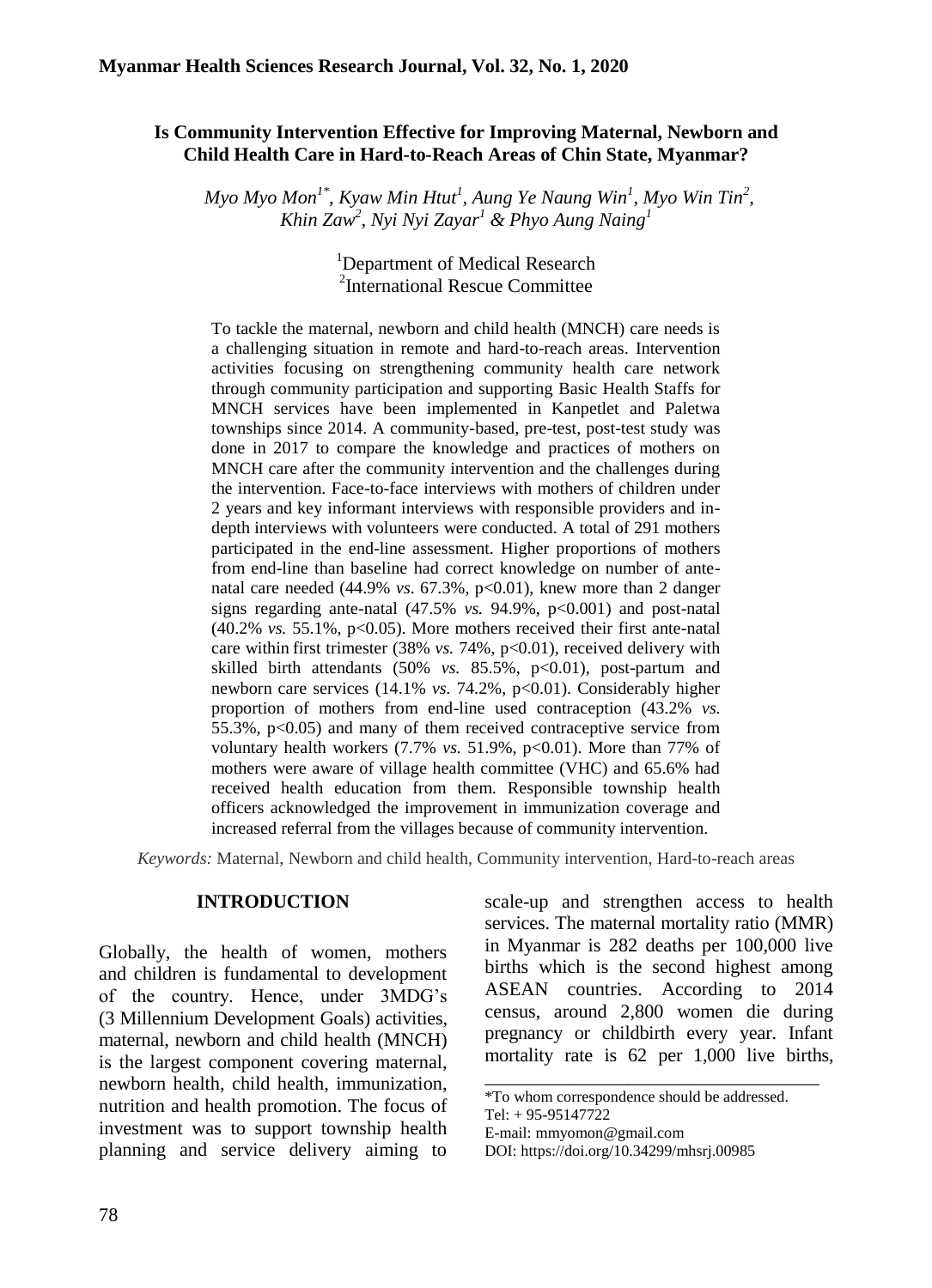### **Is Community Intervention Effective for Improving Maternal, Newborn and Child Health Care in Hard-to-Reach Areas of Chin State, Myanmar?**

*Myo Myo Mon<sup>1\*</sup>, Kyaw Min Htut<sup>1</sup>, Aung Ye Naung Win<sup>1</sup>, Myo Win Tin<sup>2</sup>, Khin Zaw<sup>2</sup> , Nyi Nyi Zayar<sup>1</sup> & Phyo Aung Naing<sup>1</sup>*

### <sup>1</sup>Department of Medical Research 2 International Rescue Committee

To tackle the maternal, newborn and child health (MNCH) care needs is a challenging situation in remote and hard-to-reach areas. Intervention activities focusing on strengthening community health care network through community participation and supporting Basic Health Staffs for MNCH services have been implemented in Kanpetlet and Paletwa townships since 2014. A community-based, pre-test, post-test study was done in 2017 to compare the knowledge and practices of mothers on MNCH care after the community intervention and the challenges during the intervention. Face-to-face interviews with mothers of children under 2 years and key informant interviews with responsible providers and indepth interviews with volunteers were conducted. A total of 291 mothers participated in the end-line assessment. Higher proportions of mothers from end-line than baseline had correct knowledge on number of antenatal care needed (44.9% *vs.* 67.3%, p<0.01), knew more than 2 danger signs regarding ante-natal (47.5% *vs.* 94.9%, p<0.001) and post-natal  $(40.2\% \text{ vs. } 55.1\%, \text{ p} < 0.05)$ . More mothers received their first ante-natal care within first trimester (38% *vs.* 74%, p<0.01), received delivery with skilled birth attendants (50% *vs.* 85.5%, p<0.01), post-partum and newborn care services (14.1% *vs.* 74.2%, p<0.01). Considerably higher proportion of mothers from end-line used contraception (43.2% *vs.* 55.3%,  $p<0.05$ ) and many of them received contraceptive service from voluntary health workers (7.7% *vs.* 51.9%, p<0.01). More than 77% of mothers were aware of village health committee (VHC) and 65.6% had received health education from them. Responsible township health officers acknowledged the improvement in immunization coverage and increased referral from the villages because of community intervention.

*Keywords:* Maternal, Newborn and child health, Community intervention, Hard-to-reach areas

#### **INTRODUCTION**

Globally, the health of women, mothers and children is fundamental to development of the country. Hence, under 3MDG's (3 Millennium Development Goals) activities, maternal, newborn and child health (MNCH) is the largest component covering maternal, newborn health, child health, immunization, nutrition and health promotion. The focus of investment was to support township health planning and service delivery aiming to scale-up and strengthen access to health services. The maternal mortality ratio (MMR) in Myanmar is 282 deaths per 100,000 live births which is the second highest among ASEAN countries. According to 2014 census, around 2,800 women die during pregnancy or childbirth every year. Infant mortality rate is 62 per 1,000 live births,

\_\_\_\_\_\_\_\_\_\_\_\_\_\_\_\_\_\_\_\_\_\_\_\_\_\_\_\_\_\_\_\_\_\_\_

<sup>\*</sup>To whom correspondence should be addressed.

Tel: + 95-95147722

E-mail: mmyomo[n@gmail.com](mailto:linlinko9@gmail.com)

DOI: [https://doi.org/10.34299/mhsrj.0098](https://doi.org/10.34299/mhsrj.009)5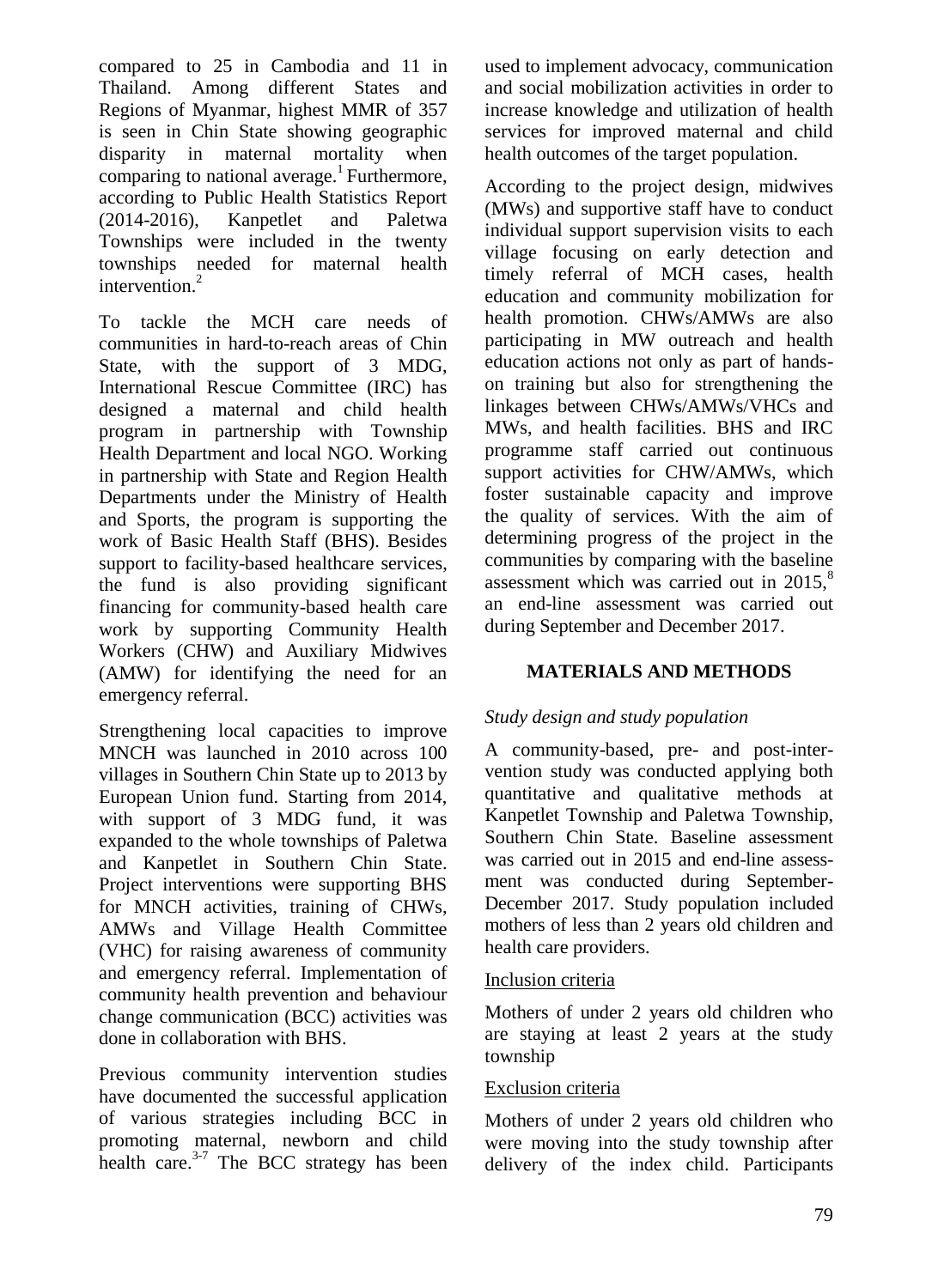compared to 25 in Cambodia and 11 in Thailand. Among different States and Regions of Myanmar, highest MMR of 357 is seen in Chin State showing geographic disparity in maternal mortality when comparing to national average.<sup>1</sup> Furthermore, according to Public Health Statistics Report (2014-2016), Kanpetlet and Paletwa Townships were included in the twenty townships needed for maternal health intervention.<sup>2</sup>

To tackle the MCH care needs of communities in hard-to-reach areas of Chin State, with the support of 3 MDG, International Rescue Committee (IRC) has designed a maternal and child health program in partnership with Township Health Department and local NGO. Working in partnership with State and Region Health Departments under the Ministry of Health and Sports, the program is supporting the work of Basic Health Staff (BHS). Besides support to facility-based healthcare services, the fund is also providing significant financing for community-based health care work by supporting Community Health Workers (CHW) and Auxiliary Midwives (AMW) for identifying the need for an emergency referral.

Strengthening local capacities to improve MNCH was launched in 2010 across 100 villages in Southern Chin State up to 2013 by European Union fund. Starting from 2014, with support of 3 MDG fund, it was expanded to the whole townships of Paletwa and Kanpetlet in Southern Chin State. Project interventions were supporting BHS for MNCH activities, training of CHWs, AMWs and Village Health Committee (VHC) for raising awareness of community and emergency referral. Implementation of community health prevention and behaviour change communication (BCC) activities was done in collaboration with BHS.

Previous community intervention studies have documented the successful application of various strategies including BCC in promoting maternal, newborn and child health care. $3-7$  The BCC strategy has been used to implement advocacy, communication and social mobilization activities in order to increase knowledge and utilization of health services for improved maternal and child health outcomes of the target population.

According to the project design, midwives (MWs) and supportive staff have to conduct individual support supervision visits to each village focusing on early detection and timely referral of MCH cases, health education and community mobilization for health promotion. CHWs/AMWs are also participating in MW outreach and health education actions not only as part of handson training but also for strengthening the linkages between CHWs/AMWs/VHCs and MWs, and health facilities. BHS and IRC programme staff carried out continuous support activities for CHW/AMWs, which foster sustainable capacity and improve the quality of services. With the aim of determining progress of the project in the communities by comparing with the baseline assessment which was carried out in  $2015$ .<sup>8</sup> an end-line assessment was carried out during September and December 2017.

# **MATERIALS AND METHODS**

### *Study design and study population*

A community-based, pre- and post-intervention study was conducted applying both quantitative and qualitative methods at Kanpetlet Township and Paletwa Township, Southern Chin State. Baseline assessment was carried out in 2015 and end-line assessment was conducted during September-December 2017. Study population included mothers of less than 2 years old children and health care providers.

### Inclusion criteria

Mothers of under 2 years old children who are staying at least 2 years at the study township

### Exclusion criteria

Mothers of under 2 years old children who were moving into the study township after delivery of the index child. Participants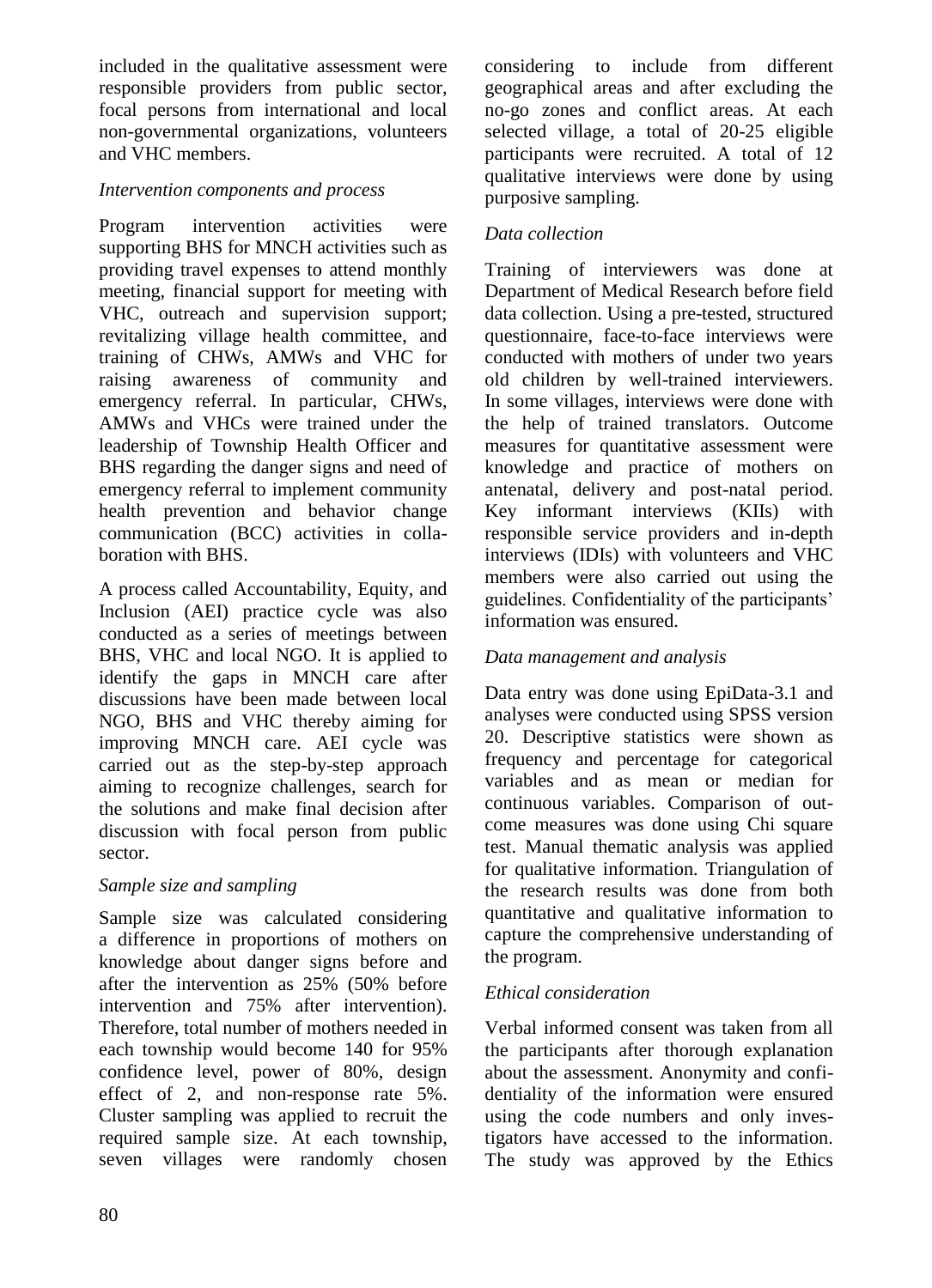included in the qualitative assessment were responsible providers from public sector, focal persons from international and local non-governmental organizations, volunteers and VHC members.

### *Intervention components and process*

Program intervention activities were supporting BHS for MNCH activities such as providing travel expenses to attend monthly meeting, financial support for meeting with VHC, outreach and supervision support; revitalizing village health committee, and training of CHWs, AMWs and VHC for raising awareness of community and emergency referral. In particular, CHWs, AMWs and VHCs were trained under the leadership of Township Health Officer and BHS regarding the danger signs and need of emergency referral to implement community health prevention and behavior change communication (BCC) activities in collaboration with BHS.

A process called Accountability, Equity, and Inclusion (AEI) practice cycle was also conducted as a series of meetings between BHS, VHC and local NGO. It is applied to identify the gaps in MNCH care after discussions have been made between local NGO, BHS and VHC thereby aiming for improving MNCH care. AEI cycle was carried out as the step-by-step approach aiming to recognize challenges, search for the solutions and make final decision after discussion with focal person from public sector.

# *Sample size and sampling*

Sample size was calculated considering a difference in proportions of mothers on knowledge about danger signs before and after the intervention as 25% (50% before intervention and 75% after intervention). Therefore, total number of mothers needed in each township would become 140 for 95% confidence level, power of 80%, design effect of 2, and non-response rate 5%. Cluster sampling was applied to recruit the required sample size. At each township, seven villages were randomly chosen

considering to include from different geographical areas and after excluding the no-go zones and conflict areas. At each selected village, a total of 20-25 eligible participants were recruited. A total of 12 qualitative interviews were done by using purposive sampling.

# *Data collection*

Training of interviewers was done at Department of Medical Research before field data collection. Using a pre-tested, structured questionnaire, face-to-face interviews were conducted with mothers of under two years old children by well-trained interviewers. In some villages, interviews were done with the help of trained translators. Outcome measures for quantitative assessment were knowledge and practice of mothers on antenatal, delivery and post-natal period. Key informant interviews (KIIs) with responsible service providers and in-depth interviews (IDIs) with volunteers and VHC members were also carried out using the guidelines. Confidentiality of the participants' information was ensured.

# *Data management and analysis*

Data entry was done using EpiData-3.1 and analyses were conducted using SPSS version 20. Descriptive statistics were shown as frequency and percentage for categorical variables and as mean or median for continuous variables. Comparison of outcome measures was done using Chi square test. Manual thematic analysis was applied for qualitative information. Triangulation of the research results was done from both quantitative and qualitative information to capture the comprehensive understanding of the program.

# *Ethical consideration*

Verbal informed consent was taken from all the participants after thorough explanation about the assessment. Anonymity and confidentiality of the information were ensured using the code numbers and only investigators have accessed to the information. The study was approved by the Ethics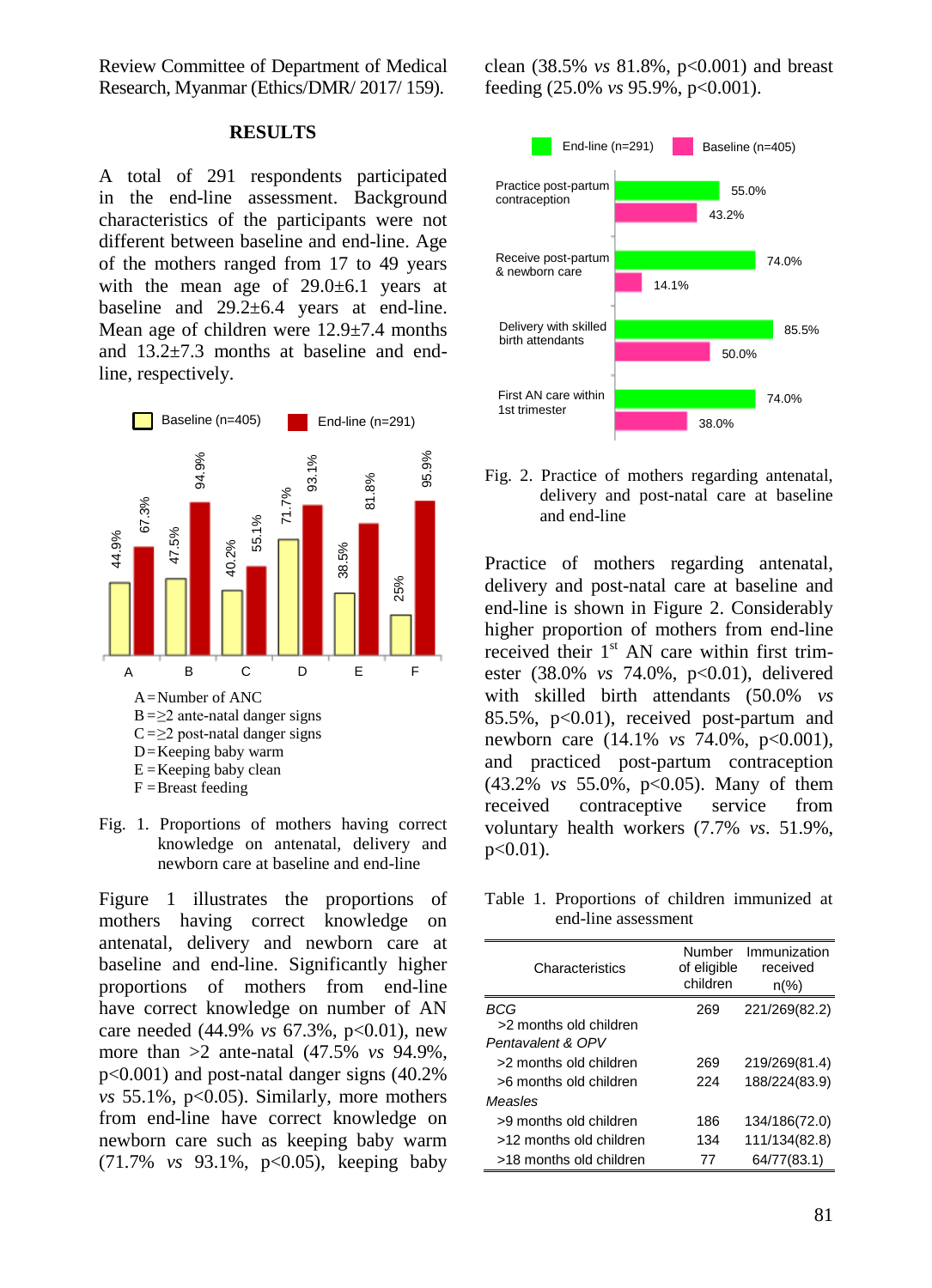Review Committee of Department of Medical Research, Myanmar (Ethics/DMR/ 2017/ 159).

#### **RESULTS**

A total of 291 respondents participated in the end-line assessment. Background characteristics of the participants were not different between baseline and end-line. Age of the mothers ranged from 17 to 49 years with the mean age of  $29.0 \pm 6.1$  years at baseline and 29.2±6.4 years at end-line. Mean age of children were 12.9±7.4 months and  $13.2\pm7.3$  months at baseline and end-<br>line, respectively. line, respectively.



Fig. 1. Proportions of mothers having correct knowledge on antenatal, delivery and newborn care at baseline and end-line

Figure 1 illustrates the proportions of mothers having correct knowledge on antenatal, delivery and newborn care at baseline and end-line. Significantly higher proportions of mothers from end-line have correct knowledge on number of AN care needed (44.9% *vs* 67.3%, p<0.01), new more than >2 ante-natal (47.5% *vs* 94.9%, p<0.001) and post-natal danger signs (40.2% *vs* 55.1%, p<0.05). Similarly, more mothers from end-line have correct knowledge on newborn care such as keeping baby warm (71.7% *vs* 93.1%, p<0.05), keeping baby

clean (38.5% *vs* 81.8%, p<0.001) and breast feeding (25.0% *vs* 95.9%, p<0.001).



Fig. 2. Practice of mothers regarding antenatal, delivery and post-natal care at baseline and end-line

Practice of mothers regarding antenatal, delivery and post-natal care at baseline and end-line is shown in Figure 2. Considerably higher proportion of mothers from end-line received their  $1<sup>st</sup>$  AN care within first trimester (38.0% *vs* 74.0%, p<0.01), delivered with skilled birth attendants (50.0% *vs*  85.5%, p<0.01), received post-partum and newborn care (14.1% *vs* 74.0%, p<0.001), and practiced post-partum contraception (43.2% *vs* 55.0%, p<0.05). Many of them received contraceptive service from voluntary health workers (7.7% *vs*. 51.9%,  $p<0.01$ ).

Table 1. Proportions of children immunized at end-line assessment

| Characteristics         | Number<br>of eligible<br>children | Immunization<br>received<br>$n\frac{9}{6}$ |
|-------------------------|-----------------------------------|--------------------------------------------|
| BCG                     | 269                               | 221/269(82.2)                              |
| >2 months old children  |                                   |                                            |
| Pentavalent & OPV       |                                   |                                            |
| >2 months old children  | 269                               | 219/269(81.4)                              |
| >6 months old children  | 224                               | 188/224(83.9)                              |
| Measles                 |                                   |                                            |
| >9 months old children  | 186                               | 134/186(72.0)                              |
| >12 months old children | 134                               | 111/134(82.8)                              |
| >18 months old children | 77                                | 64/77(83.1)                                |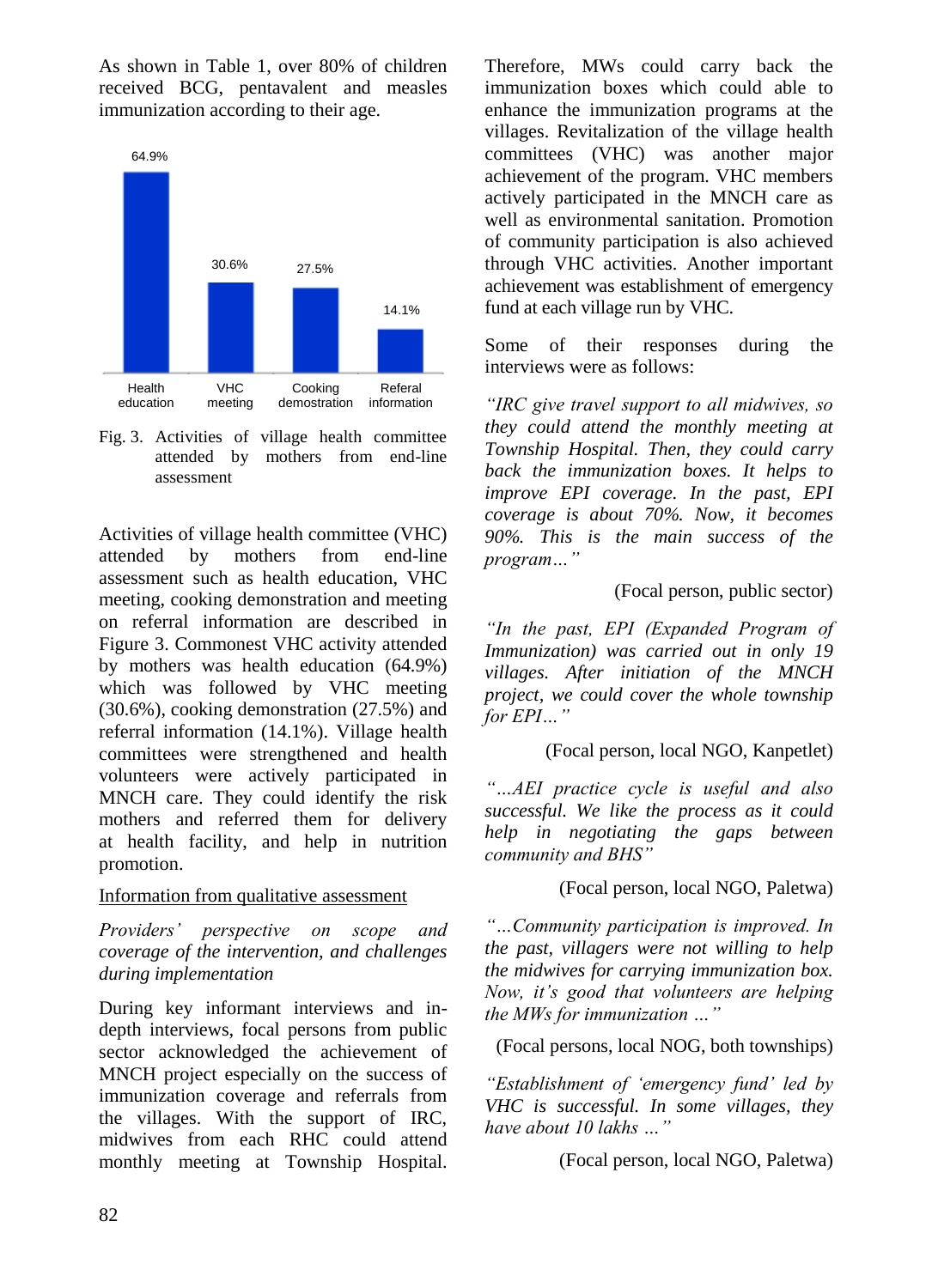As shown in Table 1, over 80% of children received BCG, pentavalent and measles immunization according to their age.



Fig. 3. Activities of village health committee attended by mothers from end-line assessment

Activities of village health committee (VHC) attended by mothers from end-line assessment such as health education, VHC meeting, cooking demonstration and meeting on referral information are described in Figure 3. Commonest VHC activity attended by mothers was health education (64.9%) which was followed by VHC meeting (30.6%), cooking demonstration (27.5%) and referral information (14.1%). Village health committees were strengthened and health volunteers were actively participated in MNCH care. They could identify the risk mothers and referred them for delivery at health facility, and help in nutrition promotion.

### Information from qualitative assessment

*Providers" perspective on scope and coverage of the intervention, and challenges during implementation*

During key informant interviews and indepth interviews, focal persons from public sector acknowledged the achievement of MNCH project especially on the success of immunization coverage and referrals from the villages. With the support of IRC, midwives from each RHC could attend monthly meeting at Township Hospital.

Therefore, MWs could carry back the immunization boxes which could able to enhance the immunization programs at the villages. Revitalization of the village health committees (VHC) was another major achievement of the program. VHC members actively participated in the MNCH care as well as environmental sanitation. Promotion of community participation is also achieved through VHC activities. Another important achievement was establishment of emergency fund at each village run by VHC.

Some of their responses during the interviews were as follows:

*"IRC give travel support to all midwives, so they could attend the monthly meeting at Township Hospital. Then, they could carry back the immunization boxes. It helps to improve EPI coverage. In the past, EPI coverage is about 70%. Now, it becomes 90%. This is the main success of the program…"* 

### (Focal person, public sector)

*"In the past, EPI (Expanded Program of Immunization) was carried out in only 19 villages. After initiation of the MNCH project, we could cover the whole township for EPI…"*

# (Focal person, local NGO, Kanpetlet)

*"…AEI practice cycle is useful and also successful. We like the process as it could help in negotiating the gaps between community and BHS"*

# (Focal person, local NGO, Paletwa)

*"…Community participation is improved. In the past, villagers were not willing to help the midwives for carrying immunization box. Now, it"s good that volunteers are helping the MWs for immunization …"*

(Focal persons, local NOG, both townships)

*"Establishment of "emergency fund" led by VHC is successful. In some villages, they have about 10 lakhs …"*

(Focal person, local NGO, Paletwa)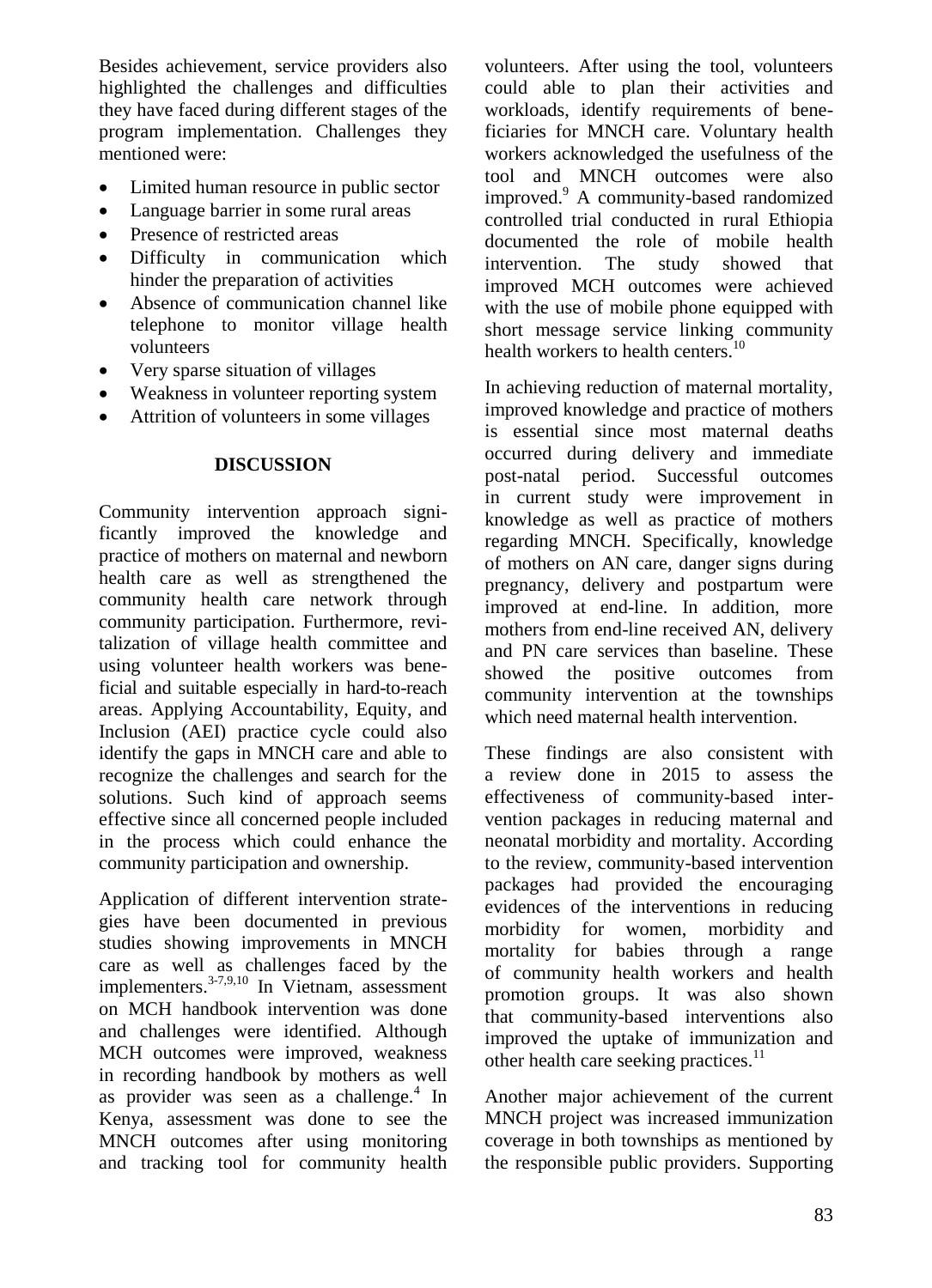Besides achievement, service providers also highlighted the challenges and difficulties they have faced during different stages of the program implementation. Challenges they mentioned were:

- Limited human resource in public sector
- Language barrier in some rural areas
- Presence of restricted areas
- Difficulty in communication which hinder the preparation of activities
- Absence of communication channel like telephone to monitor village health volunteers
- Very sparse situation of villages
- Weakness in volunteer reporting system
- Attrition of volunteers in some villages

### **DISCUSSION**

Community intervention approach significantly improved the knowledge and practice of mothers on maternal and newborn health care as well as strengthened the community health care network through community participation. Furthermore, revitalization of village health committee and using volunteer health workers was beneficial and suitable especially in hard-to-reach areas. Applying Accountability, Equity, and Inclusion (AEI) practice cycle could also identify the gaps in MNCH care and able to recognize the challenges and search for the solutions. Such kind of approach seems effective since all concerned people included in the process which could enhance the community participation and ownership.

Application of different intervention strategies have been documented in previous studies showing improvements in MNCH care as well as challenges faced by the implementers. $3-7,9,10$  In Vietnam, assessment on MCH handbook intervention was done and challenges were identified. Although MCH outcomes were improved, weakness in recording handbook by mothers as well as provider was seen as a challenge.<sup>4</sup> In Kenya, assessment was done to see the MNCH outcomes after using monitoring and tracking tool for community health

volunteers. After using the tool, volunteers could able to plan their activities and workloads, identify requirements of beneficiaries for MNCH care. Voluntary health workers acknowledged the usefulness of the tool and MNCH outcomes were also improved.<sup>9</sup> A community-based randomized controlled trial conducted in rural Ethiopia documented the role of mobile health intervention. The study showed that improved MCH outcomes were achieved with the use of mobile phone equipped with short message service linking community health workers to health centers.<sup>10</sup>

In achieving reduction of maternal mortality, improved knowledge and practice of mothers is essential since most maternal deaths occurred during delivery and immediate post-natal period. Successful outcomes in current study were improvement in knowledge as well as practice of mothers regarding MNCH. Specifically, knowledge of mothers on AN care, danger signs during pregnancy, delivery and postpartum were improved at end-line. In addition, more mothers from end-line received AN, delivery and PN care services than baseline. These showed the positive outcomes from community intervention at the townships which need maternal health intervention.

These findings are also consistent with a review done in 2015 to assess the effectiveness of community-based intervention packages in reducing maternal and neonatal morbidity and mortality. According to the review, community-based intervention packages had provided the encouraging evidences of the interventions in reducing morbidity for women, morbidity and mortality for babies through a range of community health workers and health promotion groups. It was also shown that community-based interventions also improved the uptake of immunization and other health care seeking practices.<sup>11</sup>

Another major achievement of the current MNCH project was increased immunization coverage in both townships as mentioned by the responsible public providers. Supporting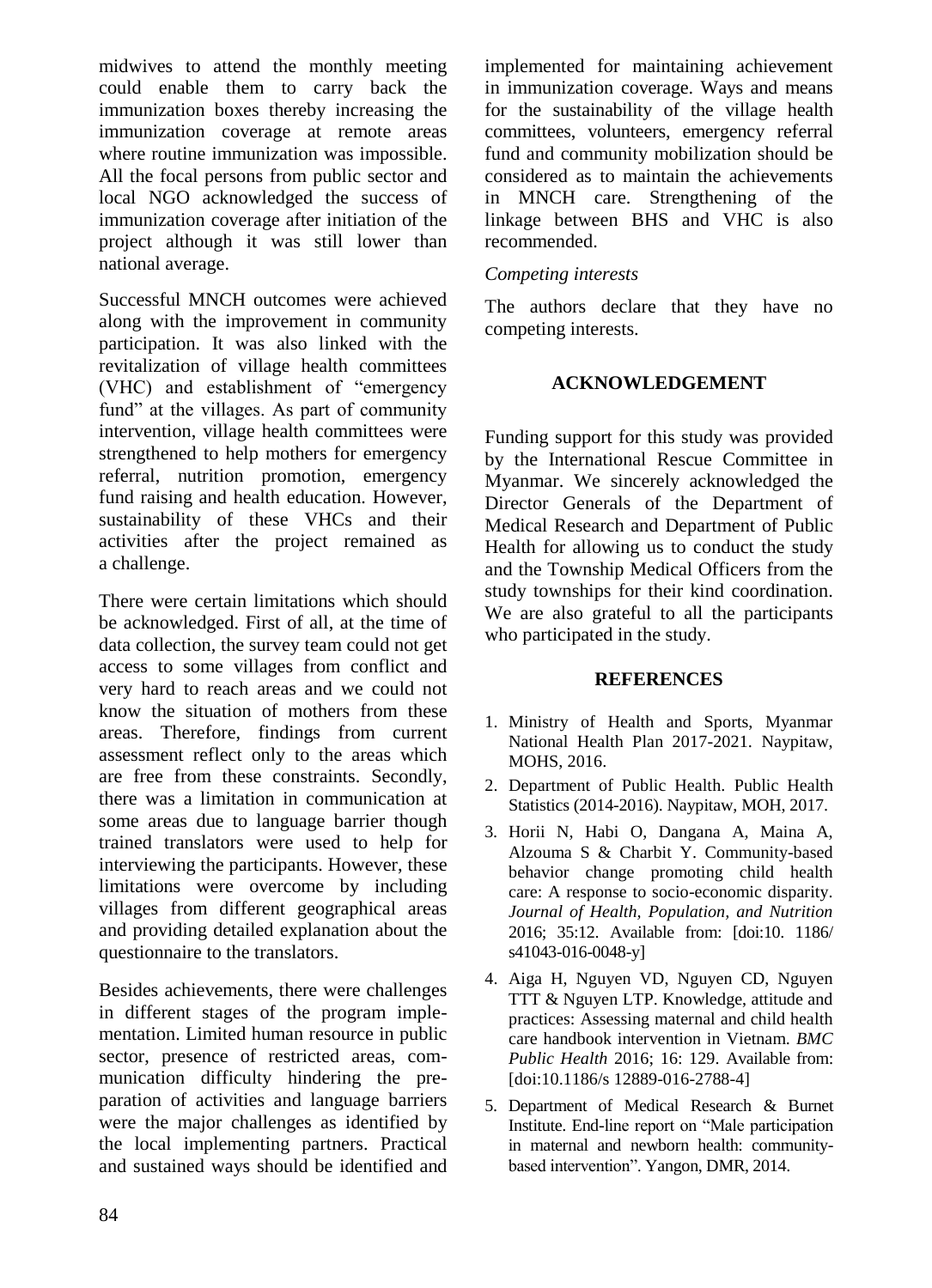midwives to attend the monthly meeting could enable them to carry back the immunization boxes thereby increasing the immunization coverage at remote areas where routine immunization was impossible. All the focal persons from public sector and local NGO acknowledged the success of immunization coverage after initiation of the project although it was still lower than national average.

Successful MNCH outcomes were achieved along with the improvement in community participation. It was also linked with the revitalization of village health committees (VHC) and establishment of "emergency fund" at the villages. As part of community intervention, village health committees were strengthened to help mothers for emergency referral, nutrition promotion, emergency fund raising and health education. However, sustainability of these VHCs and their activities after the project remained as a challenge.

There were certain limitations which should be acknowledged. First of all, at the time of data collection, the survey team could not get access to some villages from conflict and very hard to reach areas and we could not know the situation of mothers from these areas. Therefore, findings from current assessment reflect only to the areas which are free from these constraints. Secondly, there was a limitation in communication at some areas due to language barrier though trained translators were used to help for interviewing the participants. However, these limitations were overcome by including villages from different geographical areas and providing detailed explanation about the questionnaire to the translators.

Besides achievements, there were challenges in different stages of the program implementation. Limited human resource in public sector, presence of restricted areas, communication difficulty hindering the preparation of activities and language barriers were the major challenges as identified by the local implementing partners. Practical and sustained ways should be identified and implemented for maintaining achievement in immunization coverage. Ways and means for the sustainability of the village health committees, volunteers, emergency referral fund and community mobilization should be considered as to maintain the achievements in MNCH care. Strengthening of the linkage between BHS and VHC is also recommended.

### *Competing interests*

The authors declare that they have no competing interests.

### **ACKNOWLEDGEMENT**

Funding support for this study was provided by the International Rescue Committee in Myanmar. We sincerely acknowledged the Director Generals of the Department of Medical Research and Department of Public Health for allowing us to conduct the study and the Township Medical Officers from the study townships for their kind coordination. We are also grateful to all the participants who participated in the study.

### **REFERENCES**

- 1. Ministry of Health and Sports, Myanmar National Health Plan 2017-2021. Naypitaw, MOHS, 2016.
- 2. Department of Public Health. Public Health Statistics (2014-2016). Naypitaw, MOH, 2017.
- 3. Horii N, Habi O, Dangana A, Maina A, Alzouma S & Charbit Y. Community-based behavior change promoting child health care: A response to socio-economic disparity. *Journal of Health, Population, and Nutrition* 2016; 35:12. Available from: [doi:10. 1186/ s41043-016-0048-y]
- 4. Aiga H, Nguyen VD, Nguyen CD, Nguyen TTT & Nguyen LTP. Knowledge, attitude and practices: Assessing maternal and child health care handbook intervention in Vietnam. *BMC Public Health* 2016; 16: 129. Available from: [doi:10.1186/s 12889-016-2788-4]
- 5. Department of Medical Research & Burnet Institute. End-line report on "Male participation in maternal and newborn health: communitybased intervention". Yangon, DMR, 2014.